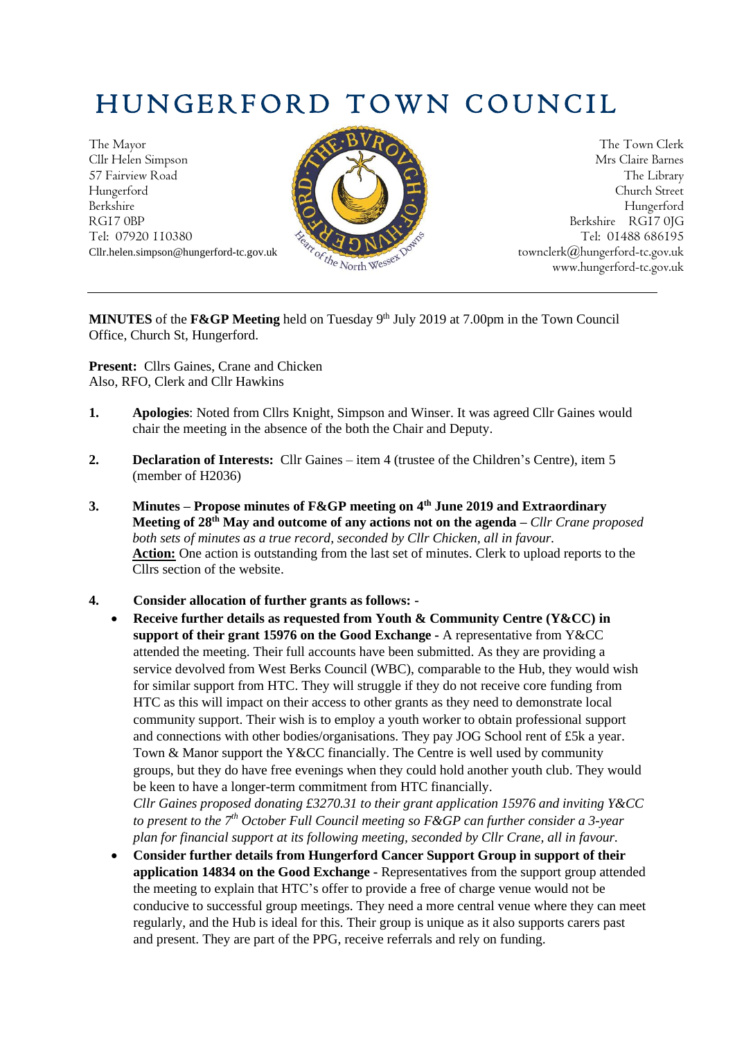# HUNGERFORD TOWN COUNCIL

The Mayor The Town Clerk Cllr Helen Simpson Mrs Claire Barnes 57 Fairview Road The Library Hungerford Church Street Berkshire Hungerford RG17 0BP Berkshire RG17 0JG Berkshire RG17 0JG Tel: 07920 110380 Tel: 01488 686195 Tel: 01488 686195



www.hungerford-tc.gov.uk

**MINUTES** of the **F&GP** Meeting held on Tuesday 9<sup>th</sup> July 2019 at 7.00pm in the Town Council Office, Church St, Hungerford.

**Present:** Cllrs Gaines, Crane and Chicken Also, RFO, Clerk and Cllr Hawkins

- **1. Apologies**: Noted from Cllrs Knight, Simpson and Winser. It was agreed Cllr Gaines would chair the meeting in the absence of the both the Chair and Deputy.
- **2. Declaration of Interests:** Cllr Gaines item 4 (trustee of the Children's Centre), item 5 (member of H2036)
- **3. Minutes – Propose minutes of F&GP meeting on 4 th June 2019 and Extraordinary Meeting of 28th May and outcome of any actions not on the agenda –** *Cllr Crane proposed both sets of minutes as a true record, seconded by Cllr Chicken, all in favour.* **Action:** One action is outstanding from the last set of minutes. Clerk to upload reports to the Cllrs section of the website.
- **4. Consider allocation of further grants as follows: -**
	- **Receive further details as requested from Youth & Community Centre (Y&CC) in support of their grant 15976 on the Good Exchange -** A representative from Y&CC attended the meeting. Their full accounts have been submitted. As they are providing a service devolved from West Berks Council (WBC), comparable to the Hub, they would wish for similar support from HTC. They will struggle if they do not receive core funding from HTC as this will impact on their access to other grants as they need to demonstrate local community support. Their wish is to employ a youth worker to obtain professional support and connections with other bodies/organisations. They pay JOG School rent of £5k a year. Town & Manor support the Y&CC financially. The Centre is well used by community groups, but they do have free evenings when they could hold another youth club. They would be keen to have a longer-term commitment from HTC financially.

*Cllr Gaines proposed donating £3270.31 to their grant application 15976 and inviting Y&CC to present to the 7 th October Full Council meeting so F&GP can further consider a 3-year plan for financial support at its following meeting, seconded by Cllr Crane, all in favour.*

• **Consider further details from Hungerford Cancer Support Group in support of their application 14834 on the Good Exchange -** Representatives from the support group attended the meeting to explain that HTC's offer to provide a free of charge venue would not be conducive to successful group meetings. They need a more central venue where they can meet regularly, and the Hub is ideal for this. Their group is unique as it also supports carers past and present. They are part of the PPG, receive referrals and rely on funding.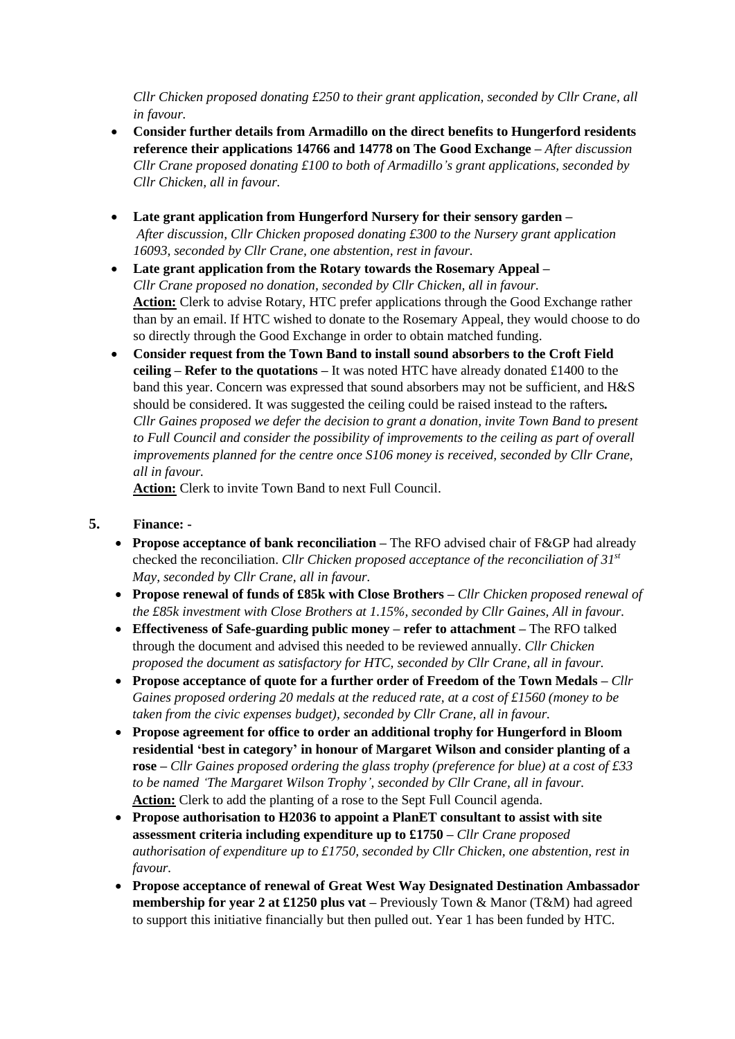*Cllr Chicken proposed donating £250 to their grant application, seconded by Cllr Crane, all in favour.*

- **Consider further details from Armadillo on the direct benefits to Hungerford residents reference their applications 14766 and 14778 on The Good Exchange –** *After discussion Cllr Crane proposed donating £100 to both of Armadillo's grant applications, seconded by Cllr Chicken, all in favour.*
- **Late grant application from Hungerford Nursery for their sensory garden –** *After discussion, Cllr Chicken proposed donating £300 to the Nursery grant application 16093, seconded by Cllr Crane, one abstention, rest in favour.*
- **Late grant application from the Rotary towards the Rosemary Appeal –** *Cllr Crane proposed no donation, seconded by Cllr Chicken, all in favour.* **Action:** Clerk to advise Rotary, HTC prefer applications through the Good Exchange rather than by an email. If HTC wished to donate to the Rosemary Appeal, they would choose to do so directly through the Good Exchange in order to obtain matched funding.
- **Consider request from the Town Band to install sound absorbers to the Croft Field ceiling – Refer to the quotations –** It was noted HTC have already donated £1400 to the band this year. Concern was expressed that sound absorbers may not be sufficient, and H&S should be considered. It was suggested the ceiling could be raised instead to the rafters*. Cllr Gaines proposed we defer the decision to grant a donation, invite Town Band to present to Full Council and consider the possibility of improvements to the ceiling as part of overall improvements planned for the centre once S106 money is received, seconded by Cllr Crane, all in favour.*

**Action:** Clerk to invite Town Band to next Full Council.

#### **5. Finance: -**

- **Propose acceptance of bank reconciliation –** The RFO advised chair of F&GP had already checked the reconciliation. *Cllr Chicken proposed acceptance of the reconciliation of 31st May, seconded by Cllr Crane, all in favour.*
- **Propose renewal of funds of £85k with Close Brothers –** *Cllr Chicken proposed renewal of the £85k investment with Close Brothers at 1.15%, seconded by Cllr Gaines, All in favour.*
- **Effectiveness of Safe-guarding public money – refer to attachment –** The RFO talked through the document and advised this needed to be reviewed annually. *Cllr Chicken proposed the document as satisfactory for HTC, seconded by Cllr Crane, all in favour.*
- **Propose acceptance of quote for a further order of Freedom of the Town Medals –** *Cllr Gaines proposed ordering 20 medals at the reduced rate, at a cost of £1560 (money to be taken from the civic expenses budget), seconded by Cllr Crane, all in favour.*
- **Propose agreement for office to order an additional trophy for Hungerford in Bloom residential 'best in category' in honour of Margaret Wilson and consider planting of a rose –** *Cllr Gaines proposed ordering the glass trophy (preference for blue) at a cost of £33 to be named 'The Margaret Wilson Trophy', seconded by Cllr Crane, all in favour.* Action: Clerk to add the planting of a rose to the Sept Full Council agenda.
- **Propose authorisation to H2036 to appoint a PlanET consultant to assist with site assessment criteria including expenditure up to £1750 –** *Cllr Crane proposed authorisation of expenditure up to £1750, seconded by Cllr Chicken, one abstention, rest in favour.*
- **Propose acceptance of renewal of Great West Way Designated Destination Ambassador membership for year 2 at £1250 plus vat –** Previously Town & Manor (T&M) had agreed to support this initiative financially but then pulled out. Year 1 has been funded by HTC.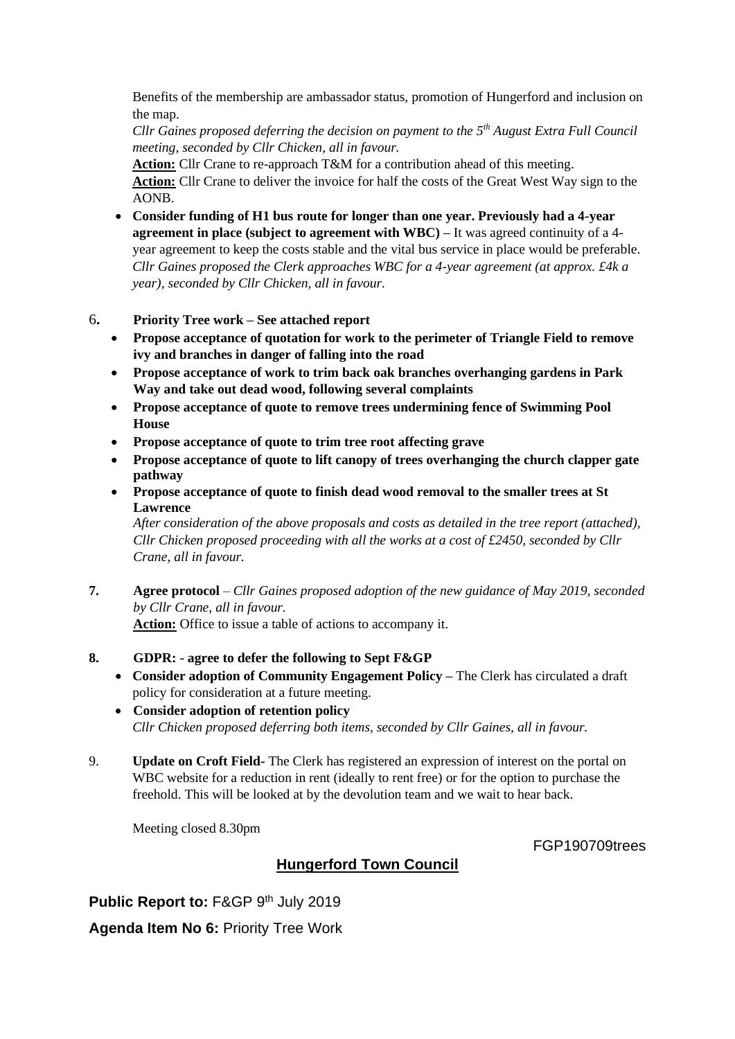Benefits of the membership are ambassador status, promotion of Hungerford and inclusion on the map.

*Cllr Gaines proposed deferring the decision on payment to the 5th August Extra Full Council meeting, seconded by Cllr Chicken, all in favour.*

**Action:** Cllr Crane to re-approach T&M for a contribution ahead of this meeting. **Action:** Cllr Crane to deliver the invoice for half the costs of the Great West Way sign to the AONB.

- **Consider funding of H1 bus route for longer than one year. Previously had a 4-year agreement in place (subject to agreement with WBC) –** It was agreed continuity of a 4 year agreement to keep the costs stable and the vital bus service in place would be preferable. *Cllr Gaines proposed the Clerk approaches WBC for a 4-year agreement (at approx. £4k a year), seconded by Cllr Chicken, all in favour.*
- 6**. Priority Tree work – See attached report**
	- **Propose acceptance of quotation for work to the perimeter of Triangle Field to remove ivy and branches in danger of falling into the road**
	- **Propose acceptance of work to trim back oak branches overhanging gardens in Park Way and take out dead wood, following several complaints**
	- **Propose acceptance of quote to remove trees undermining fence of Swimming Pool House**
	- **Propose acceptance of quote to trim tree root affecting grave**
	- **Propose acceptance of quote to lift canopy of trees overhanging the church clapper gate pathway**
	- **Propose acceptance of quote to finish dead wood removal to the smaller trees at St Lawrence**

*After consideration of the above proposals and costs as detailed in the tree report (attached), Cllr Chicken proposed proceeding with all the works at a cost of £2450, seconded by Cllr Crane, all in favour.*

**7. Agree protocol** – *Cllr Gaines proposed adoption of the new guidance of May 2019, seconded by Cllr Crane, all in favour.* **Action:** Office to issue a table of actions to accompany it.

#### **8. GDPR: - agree to defer the following to Sept F&GP**

- **Consider adoption of Community Engagement Policy –** The Clerk has circulated a draft policy for consideration at a future meeting.
- **Consider adoption of retention policy** *Cllr Chicken proposed deferring both items, seconded by Cllr Gaines, all in favour.*
- 9. **Update on Croft Field-** The Clerk has registered an expression of interest on the portal on WBC website for a reduction in rent (ideally to rent free) or for the option to purchase the freehold. This will be looked at by the devolution team and we wait to hear back.

Meeting closed 8.30pm

FGP190709trees

### **Hungerford Town Council**

**Public Report to: F&GP 9th July 2019** 

**Agenda Item No 6:** Priority Tree Work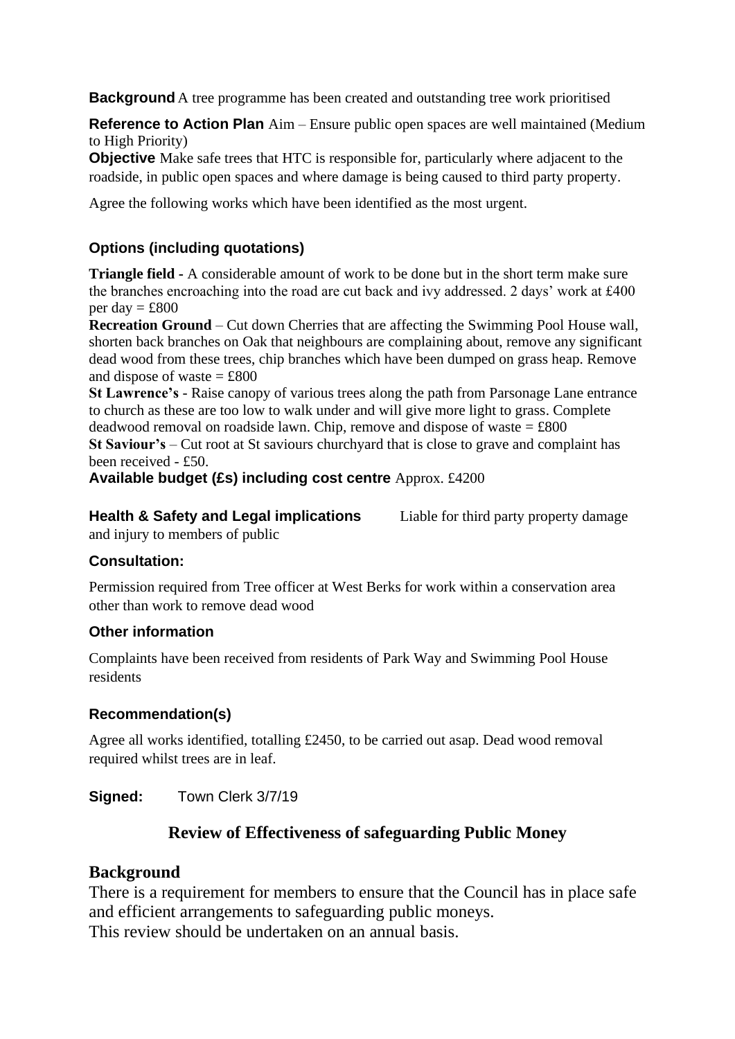**Background** A tree programme has been created and outstanding tree work prioritised

**Reference to Action Plan** Aim – Ensure public open spaces are well maintained (Medium to High Priority)

**Objective** Make safe trees that HTC is responsible for, particularly where adjacent to the roadside, in public open spaces and where damage is being caused to third party property.

Agree the following works which have been identified as the most urgent.

## **Options (including quotations)**

**Triangle field -** A considerable amount of work to be done but in the short term make sure the branches encroaching into the road are cut back and ivy addressed. 2 days' work at £400 per day  $=$  £800

**Recreation Ground** – Cut down Cherries that are affecting the Swimming Pool House wall, shorten back branches on Oak that neighbours are complaining about, remove any significant dead wood from these trees, chip branches which have been dumped on grass heap. Remove and dispose of waste  $=$  £800

**St Lawrence's** - Raise canopy of various trees along the path from Parsonage Lane entrance to church as these are too low to walk under and will give more light to grass. Complete deadwood removal on roadside lawn. Chip, remove and dispose of waste  $=$  £800

**St Saviour's** – Cut root at St saviours churchyard that is close to grave and complaint has been received - £50.

**Available budget (£s) including cost centre** Approx. £4200

**Health & Safety and Legal implications** Liable for third party property damage and injury to members of public

#### **Consultation:**

Permission required from Tree officer at West Berks for work within a conservation area other than work to remove dead wood

### **Other information**

Complaints have been received from residents of Park Way and Swimming Pool House residents

### **Recommendation(s)**

Agree all works identified, totalling £2450, to be carried out asap. Dead wood removal required whilst trees are in leaf.

**Signed:** Town Clerk 3/7/19

## **Review of Effectiveness of safeguarding Public Money**

### **Background**

There is a requirement for members to ensure that the Council has in place safe and efficient arrangements to safeguarding public moneys. This review should be undertaken on an annual basis.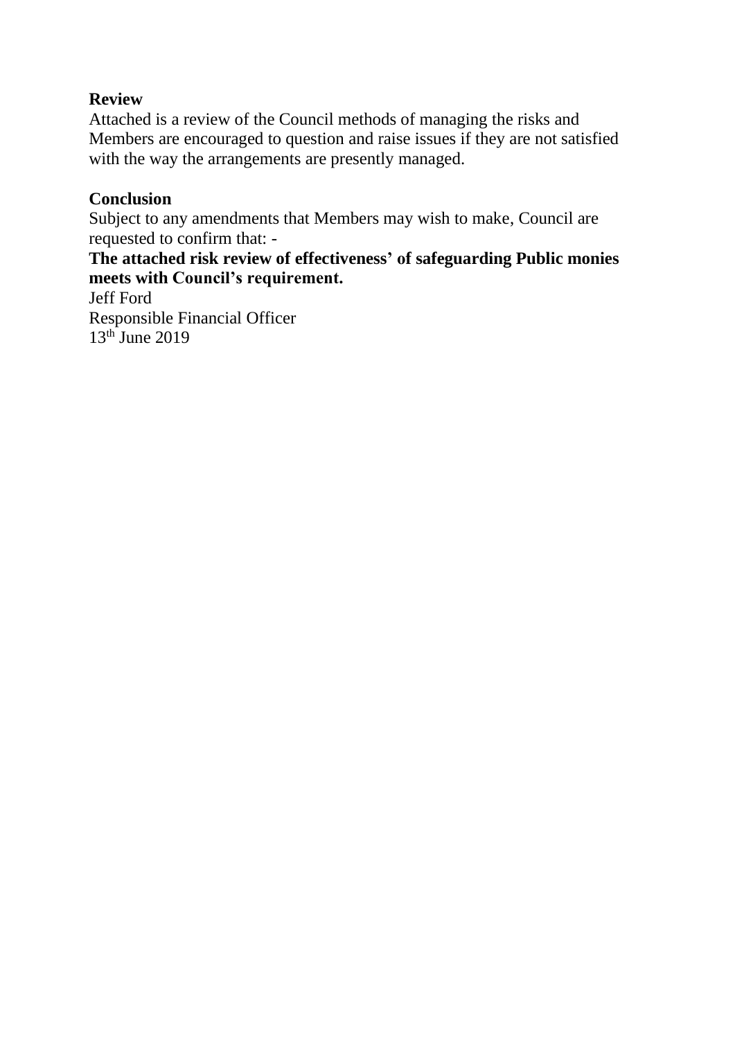# **Review**

Attached is a review of the Council methods of managing the risks and Members are encouraged to question and raise issues if they are not satisfied with the way the arrangements are presently managed.

## **Conclusion**

Subject to any amendments that Members may wish to make, Council are requested to confirm that: -

# **The attached risk review of effectiveness' of safeguarding Public monies meets with Council's requirement.**

Jeff Ford Responsible Financial Officer  $13<sup>th</sup>$  June 2019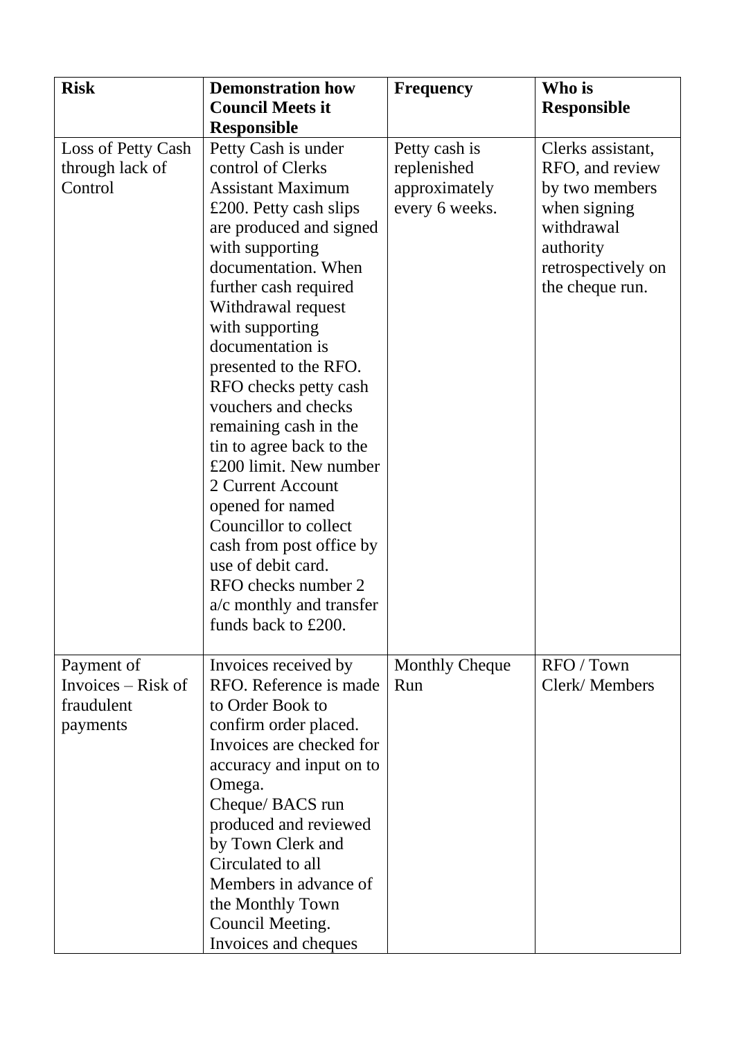| <b>Risk</b>                                                  | <b>Demonstration how</b><br><b>Council Meets it</b>                                                                                                                                                                                                                                                                                                                                                                                                                                                                                                                                                                                   | <b>Frequency</b>                                                | Who is                                                                                                                                     |
|--------------------------------------------------------------|---------------------------------------------------------------------------------------------------------------------------------------------------------------------------------------------------------------------------------------------------------------------------------------------------------------------------------------------------------------------------------------------------------------------------------------------------------------------------------------------------------------------------------------------------------------------------------------------------------------------------------------|-----------------------------------------------------------------|--------------------------------------------------------------------------------------------------------------------------------------------|
|                                                              |                                                                                                                                                                                                                                                                                                                                                                                                                                                                                                                                                                                                                                       |                                                                 | <b>Responsible</b>                                                                                                                         |
| Loss of Petty Cash<br>through lack of<br>Control             | <b>Responsible</b><br>Petty Cash is under<br>control of Clerks<br><b>Assistant Maximum</b><br>£200. Petty cash slips<br>are produced and signed<br>with supporting<br>documentation. When<br>further cash required<br>Withdrawal request<br>with supporting<br>documentation is<br>presented to the RFO.<br>RFO checks petty cash<br>vouchers and checks<br>remaining cash in the<br>tin to agree back to the<br>£200 limit. New number<br>2 Current Account<br>opened for named<br>Councillor to collect<br>cash from post office by<br>use of debit card.<br>RFO checks number 2<br>a/c monthly and transfer<br>funds back to £200. | Petty cash is<br>replenished<br>approximately<br>every 6 weeks. | Clerks assistant,<br>RFO, and review<br>by two members<br>when signing<br>withdrawal<br>authority<br>retrospectively on<br>the cheque run. |
| Payment of<br>Invoices $-$ Risk of<br>fraudulent<br>payments | Invoices received by<br>RFO. Reference is made<br>to Order Book to<br>confirm order placed.<br>Invoices are checked for<br>accuracy and input on to<br>Omega.<br>Cheque/ BACS run<br>produced and reviewed<br>by Town Clerk and<br>Circulated to all<br>Members in advance of<br>the Monthly Town<br>Council Meeting.<br>Invoices and cheques                                                                                                                                                                                                                                                                                         | <b>Monthly Cheque</b><br>Run                                    | RFO / Town<br>Clerk/Members                                                                                                                |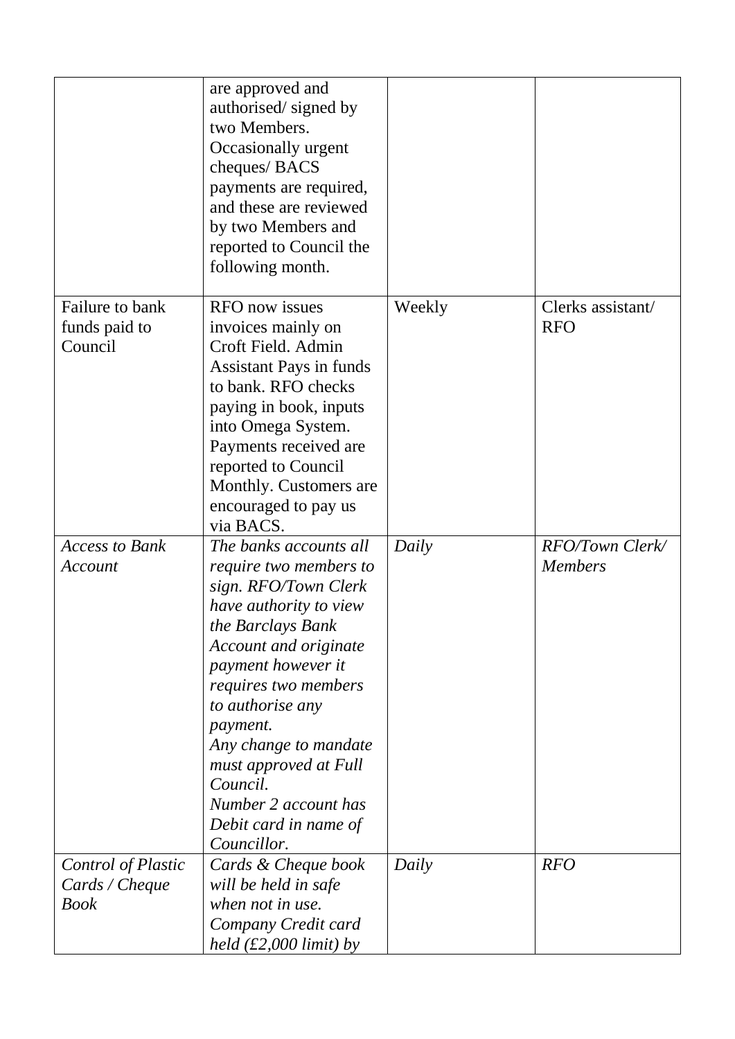|                       | are approved and<br>authorised/signed by<br>two Members.<br>Occasionally urgent<br>cheques/BACS<br>payments are required,<br>and these are reviewed<br>by two Members and<br>reported to Council the<br>following month. |        |                        |
|-----------------------|--------------------------------------------------------------------------------------------------------------------------------------------------------------------------------------------------------------------------|--------|------------------------|
| Failure to bank       | <b>RFO</b> now issues                                                                                                                                                                                                    | Weekly | Clerks assistant/      |
| funds paid to         | invoices mainly on                                                                                                                                                                                                       |        | <b>RFO</b>             |
| Council               | Croft Field. Admin                                                                                                                                                                                                       |        |                        |
|                       | Assistant Pays in funds                                                                                                                                                                                                  |        |                        |
|                       | to bank. RFO checks                                                                                                                                                                                                      |        |                        |
|                       | paying in book, inputs                                                                                                                                                                                                   |        |                        |
|                       | into Omega System.                                                                                                                                                                                                       |        |                        |
|                       | Payments received are                                                                                                                                                                                                    |        |                        |
|                       | reported to Council<br>Monthly. Customers are                                                                                                                                                                            |        |                        |
|                       | encouraged to pay us                                                                                                                                                                                                     |        |                        |
|                       | via BACS.                                                                                                                                                                                                                |        |                        |
| <b>Access to Bank</b> | The banks accounts all                                                                                                                                                                                                   | Daily  | <b>RFO/Town Clerk/</b> |
| Account               | <i>require two members to</i>                                                                                                                                                                                            |        | <b>Members</b>         |
|                       | sign. RFO/Town Clerk                                                                                                                                                                                                     |        |                        |
|                       | have authority to view                                                                                                                                                                                                   |        |                        |
|                       | the Barclays Bank                                                                                                                                                                                                        |        |                        |
|                       | Account and originate                                                                                                                                                                                                    |        |                        |
|                       | payment however it                                                                                                                                                                                                       |        |                        |
|                       | <i>requires two members</i>                                                                                                                                                                                              |        |                        |
|                       | to authorise any                                                                                                                                                                                                         |        |                        |
|                       | payment.                                                                                                                                                                                                                 |        |                        |
|                       | Any change to mandate                                                                                                                                                                                                    |        |                        |
|                       | must approved at Full<br>Council.                                                                                                                                                                                        |        |                        |
|                       | Number 2 account has                                                                                                                                                                                                     |        |                        |
|                       | Debit card in name of                                                                                                                                                                                                    |        |                        |
|                       | Councillor.                                                                                                                                                                                                              |        |                        |
| Control of Plastic    | Cards & Cheque book                                                                                                                                                                                                      | Daily  | <b>RFO</b>             |
| Cards / Cheque        | will be held in safe                                                                                                                                                                                                     |        |                        |
| <b>Book</b>           | when not in use.                                                                                                                                                                                                         |        |                        |
|                       | Company Credit card                                                                                                                                                                                                      |        |                        |
|                       | held $(\text{\pounds}2,000 \text{ limit})$ by                                                                                                                                                                            |        |                        |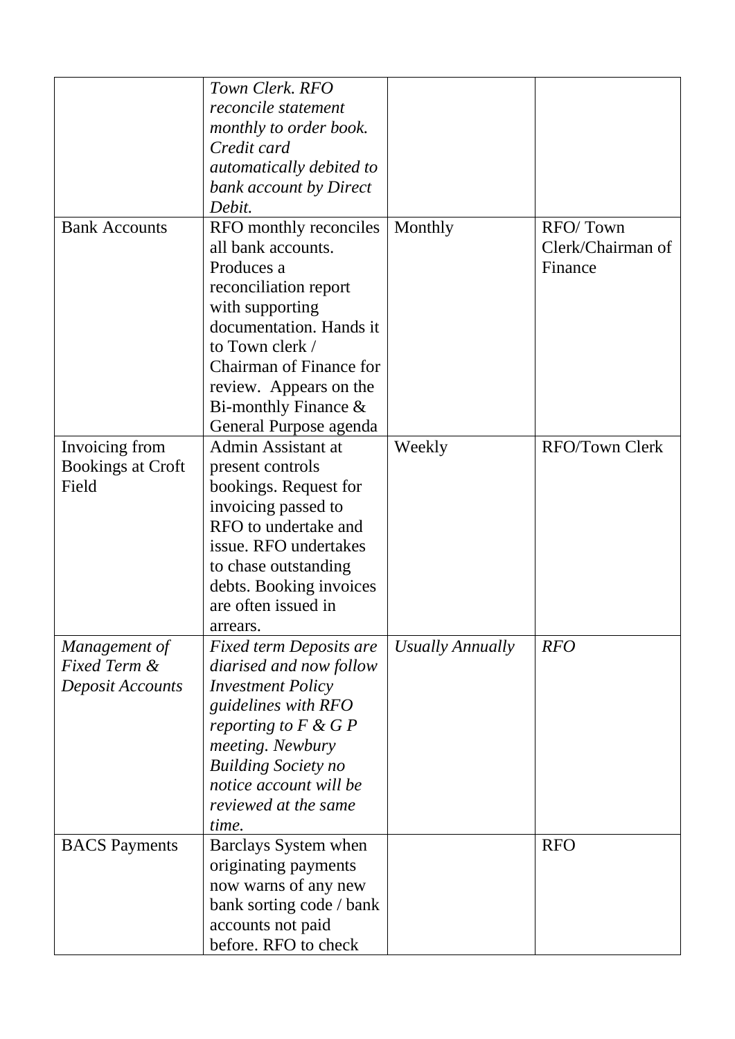|                          | Town Clerk. RFO                                            |                  |                                          |
|--------------------------|------------------------------------------------------------|------------------|------------------------------------------|
|                          | reconcile statement                                        |                  |                                          |
|                          | monthly to order book.                                     |                  |                                          |
|                          | Credit card                                                |                  |                                          |
|                          | automatically debited to                                   |                  |                                          |
|                          | bank account by Direct                                     |                  |                                          |
|                          | Debit.                                                     |                  |                                          |
| <b>Bank Accounts</b>     | RFO monthly reconciles<br>all bank accounts.<br>Produces a | Monthly          | RFO/Town<br>Clerk/Chairman of<br>Finance |
|                          | reconciliation report                                      |                  |                                          |
|                          | with supporting                                            |                  |                                          |
|                          | documentation. Hands it                                    |                  |                                          |
|                          | to Town clerk /                                            |                  |                                          |
|                          | Chairman of Finance for                                    |                  |                                          |
|                          | review. Appears on the                                     |                  |                                          |
|                          | Bi-monthly Finance $\&$                                    |                  |                                          |
|                          | General Purpose agenda                                     |                  |                                          |
| Invoicing from           | Admin Assistant at                                         | Weekly           | <b>RFO/Town Clerk</b>                    |
| <b>Bookings at Croft</b> | present controls                                           |                  |                                          |
| Field                    | bookings. Request for                                      |                  |                                          |
|                          | invoicing passed to                                        |                  |                                          |
|                          | RFO to undertake and                                       |                  |                                          |
|                          | issue. RFO undertakes                                      |                  |                                          |
|                          | to chase outstanding                                       |                  |                                          |
|                          | debts. Booking invoices                                    |                  |                                          |
|                          | are often issued in                                        |                  |                                          |
|                          | arrears                                                    |                  |                                          |
| Management of            | <b>Fixed term Deposits are</b>                             | Usually Annually | <b>RFO</b>                               |
| <b>Fixed Term &amp;</b>  | diarised and now follow                                    |                  |                                          |
| Deposit Accounts         | <b>Investment Policy</b>                                   |                  |                                          |
|                          | guidelines with RFO                                        |                  |                                          |
|                          | reporting to $F \& G P$                                    |                  |                                          |
|                          | meeting. Newbury                                           |                  |                                          |
|                          | <b>Building Society no</b>                                 |                  |                                          |
|                          | notice account will be                                     |                  |                                          |
|                          | reviewed at the same                                       |                  |                                          |
|                          | time.                                                      |                  |                                          |
| <b>BACS</b> Payments     | Barclays System when                                       |                  | <b>RFO</b>                               |
|                          | originating payments                                       |                  |                                          |
|                          | now warns of any new                                       |                  |                                          |
|                          | bank sorting code / bank                                   |                  |                                          |
|                          | accounts not paid                                          |                  |                                          |
|                          | before. RFO to check                                       |                  |                                          |